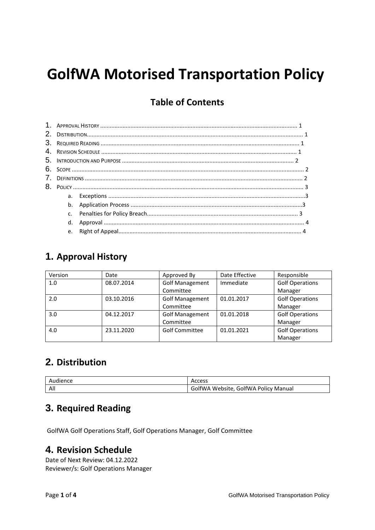# **GolfWA Motorised Transportation Policy**

# **Table of Contents**

# **1. Approval History**

| Version | Date       | Approved By            | Date Effective                       | Responsible            |  |
|---------|------------|------------------------|--------------------------------------|------------------------|--|
| 1.0     | 08.07.2014 | <b>Golf Management</b> | Immediate                            | <b>Golf Operations</b> |  |
|         |            | Committee              |                                      | Manager                |  |
| 2.0     | 03.10.2016 | <b>Golf Management</b> | 01.01.2017                           | <b>Golf Operations</b> |  |
|         |            | Committee              |                                      | Manager                |  |
| 3.0     | 04.12.2017 | <b>Golf Management</b> | 01.01.2018                           | <b>Golf Operations</b> |  |
|         |            | Committee              |                                      | Manager                |  |
| 4.0     | 23.11.2020 | <b>Golf Committee</b>  | <b>Golf Operations</b><br>01.01.2021 |                        |  |
|         |            |                        |                                      | Manager                |  |

# **2. Distribution**

| Audience | Access                               |
|----------|--------------------------------------|
| All      | GolfWA Website, GolfWA Policy Manual |

### **3. Required Reading**

GolfWA Golf Operations Staff, Golf Operations Manager, Golf Committee

### **4. Revision Schedule**

Date of Next Review: 04.12.2022 Reviewer/s: Golf Operations Manager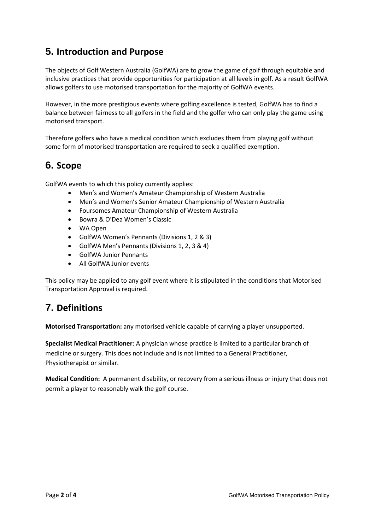# **5. Introduction and Purpose**

The objects of Golf Western Australia (GolfWA) are to grow the game of golf through equitable and inclusive practices that provide opportunities for participation at all levels in golf. As a result GolfWA allows golfers to use motorised transportation for the majority of GolfWA events.

However, in the more prestigious events where golfing excellence is tested, GolfWA has to find a balance between fairness to all golfers in the field and the golfer who can only play the game using motorised transport.

Therefore golfers who have a medical condition which excludes them from playing golf without some form of motorised transportation are required to seek a qualified exemption.

## **6. Scope**

GolfWA events to which this policy currently applies:

- Men's and Women's Amateur Championship of Western Australia
- Men's and Women's Senior Amateur Championship of Western Australia
- Foursomes Amateur Championship of Western Australia
- Bowra & O'Dea Women's Classic
- WA Open
- GolfWA Women's Pennants (Divisions 1, 2 & 3)
- GolfWA Men's Pennants (Divisions 1, 2, 3 & 4)
- GolfWA Junior Pennants
- All GolfWA Junior events

This policy may be applied to any golf event where it is stipulated in the conditions that Motorised Transportation Approval is required.

# **7. Definitions**

**Motorised Transportation:** any motorised vehicle capable of carrying a player unsupported.

**Specialist Medical Practitioner**: A physician whose practice is limited to a particular branch of medicine or surgery. This does not include and is not limited to a General Practitioner, Physiotherapist or similar.

**Medical Condition:** A permanent disability, or recovery from a serious illness or injury that does not permit a player to reasonably walk the golf course.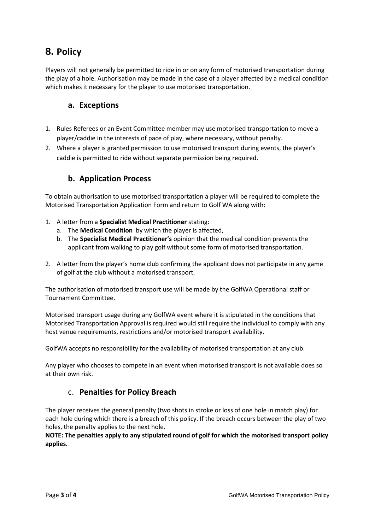# **8. Policy**

Players will not generally be permitted to ride in or on any form of motorised transportation during the play of a hole. Authorisation may be made in the case of a player affected by a medical condition which makes it necessary for the player to use motorised transportation.

#### **a. Exceptions**

- 1. Rules Referees or an Event Committee member may use motorised transportation to move a player/caddie in the interests of pace of play, where necessary, without penalty.
- 2. Where a player is granted permission to use motorised transport during events, the player's caddie is permitted to ride without separate permission being required.

#### **b. Application Process**

To obtain authorisation to use motorised transportation a player will be required to complete the Motorised Transportation Application Form and return to Golf WA along with:

- 1. A letter from a **Specialist Medical Practitioner** stating:
	- a. The **Medical Condition** by which the player is affected,
	- b. The **Specialist Medical Practitioner's** opinion that the medical condition prevents the applicant from walking to play golf without some form of motorised transportation.
- 2. A letter from the player's home club confirming the applicant does not participate in any game of golf at the club without a motorised transport.

The authorisation of motorised transport use will be made by the GolfWA Operational staff or Tournament Committee.

Motorised transport usage during any GolfWA event where it is stipulated in the conditions that Motorised Transportation Approval is required would still require the individual to comply with any host venue requirements, restrictions and/or motorised transport availability.

GolfWA accepts no responsibility for the availability of motorised transportation at any club.

Any player who chooses to compete in an event when motorised transport is not available does so at their own risk.

#### c. **Penalties for Policy Breach**

The player receives the general penalty (two shots in stroke or loss of one hole in match play) for each hole during which there is a breach of this policy. If the breach occurs between the play of two holes, the penalty applies to the next hole.

**NOTE: The penalties apply to any stipulated round of golf for which the motorised transport policy applies.**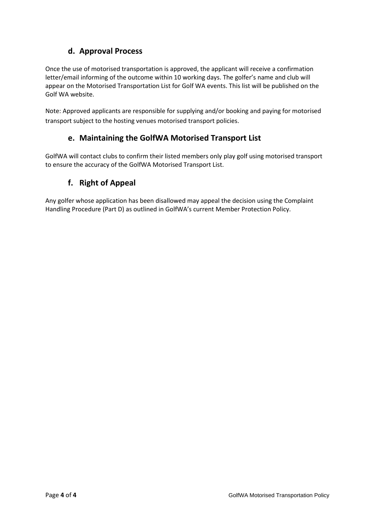### **d. Approval Process**

Once the use of motorised transportation is approved, the applicant will receive a confirmation letter/email informing of the outcome within 10 working days. The golfer's name and club will appear on the Motorised Transportation List for Golf WA events. This list will be published on the Golf WA website.

Note: Approved applicants are responsible for supplying and/or booking and paying for motorised transport subject to the hosting venues motorised transport policies.

#### **e. Maintaining the GolfWA Motorised Transport List**

GolfWA will contact clubs to confirm their listed members only play golf using motorised transport to ensure the accuracy of the GolfWA Motorised Transport List.

#### **f. Right of Appeal**

Any golfer whose application has been disallowed may appeal the decision using the Complaint Handling Procedure (Part D) as outlined in GolfWA's current Member Protection Policy.